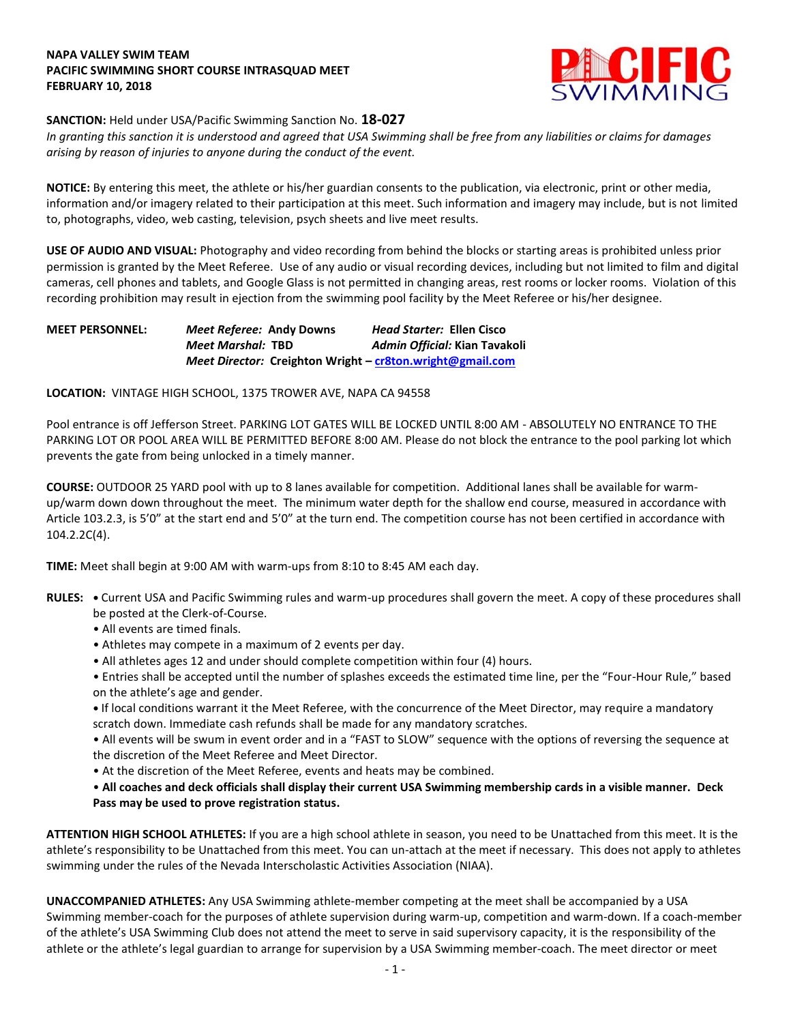## **NAPA VALLEY SWIM TEAM PACIFIC SWIMMING SHORT COURSE INTRASQUAD MEET FEBRUARY 10, 2018**



## **SANCTION:** Held under USA/Pacific Swimming Sanction No. **18-027**

*In granting this sanction it is understood and agreed that USA Swimming shall be free from any liabilities or claims for damages arising by reason of injuries to anyone during the conduct of the event.*

**NOTICE:** By entering this meet, the athlete or his/her guardian consents to the publication, via electronic, print or other media, information and/or imagery related to their participation at this meet. Such information and imagery may include, but is not limited to, photographs, video, web casting, television, psych sheets and live meet results.

**USE OF AUDIO AND VISUAL:** Photography and video recording from behind the blocks or starting areas is prohibited unless prior permission is granted by the Meet Referee. Use of any audio or visual recording devices, including but not limited to film and digital cameras, cell phones and tablets, and Google Glass is not permitted in changing areas, rest rooms or locker rooms. Violation of this recording prohibition may result in ejection from the swimming pool facility by the Meet Referee or his/her designee.

**MEET PERSONNEL:** *Meet Referee:* **Andy Downs** *Head Starter:* **Ellen Cisco** *Meet Marshal:* **TBD** *Admin Official:* **Kian Tavakoli** *Meet Director:* **Creighton Wright – [cr8ton.wright@gmail.com](mailto:cr8ton.wright@gmail.com)**

**LOCATION:** VINTAGE HIGH SCHOOL, 1375 TROWER AVE, NAPA CA 94558

Pool entrance is off Jefferson Street. PARKING LOT GATES WILL BE LOCKED UNTIL 8:00 AM - ABSOLUTELY NO ENTRANCE TO THE PARKING LOT OR POOL AREA WILL BE PERMITTED BEFORE 8:00 AM. Please do not block the entrance to the pool parking lot which prevents the gate from being unlocked in a timely manner.

**COURSE:** OUTDOOR 25 YARD pool with up to 8 lanes available for competition. Additional lanes shall be available for warmup/warm down down throughout the meet. The minimum water depth for the shallow end course, measured in accordance with Article 103.2.3, is 5'0" at the start end and 5'0" at the turn end. The competition course has not been certified in accordance with 104.2.2C(4).

**TIME:** Meet shall begin at 9:00 AM with warm-ups from 8:10 to 8:45 AM each day.

- **RULES:** Current USA and Pacific Swimming rules and warm-up procedures shall govern the meet. A copy of these procedures shall be posted at the Clerk-of-Course.
	- All events are timed finals.
	- Athletes may compete in a maximum of 2 events per day.
	- All athletes ages 12 and under should complete competition within four (4) hours.

• Entries shall be accepted until the number of splashes exceeds the estimated time line, per the "Four-Hour Rule," based on the athlete's age and gender.

**•** If local conditions warrant it the Meet Referee, with the concurrence of the Meet Director, may require a mandatory scratch down. Immediate cash refunds shall be made for any mandatory scratches.

• All events will be swum in event order and in a "FAST to SLOW" sequence with the options of reversing the sequence at the discretion of the Meet Referee and Meet Director.

• At the discretion of the Meet Referee, events and heats may be combined.

• **All coaches and deck officials shall display their current USA Swimming membership cards in a visible manner. Deck Pass may be used to prove registration status.**

**ATTENTION HIGH SCHOOL ATHLETES:** If you are a high school athlete in season, you need to be Unattached from this meet. It is the athlete's responsibility to be Unattached from this meet. You can un-attach at the meet if necessary. This does not apply to athletes swimming under the rules of the Nevada Interscholastic Activities Association (NIAA).

**UNACCOMPANIED ATHLETES:** Any USA Swimming athlete-member competing at the meet shall be accompanied by a USA Swimming member-coach for the purposes of athlete supervision during warm-up, competition and warm-down. If a coach-member of the athlete's USA Swimming Club does not attend the meet to serve in said supervisory capacity, it is the responsibility of the athlete or the athlete's legal guardian to arrange for supervision by a USA Swimming member-coach. The meet director or meet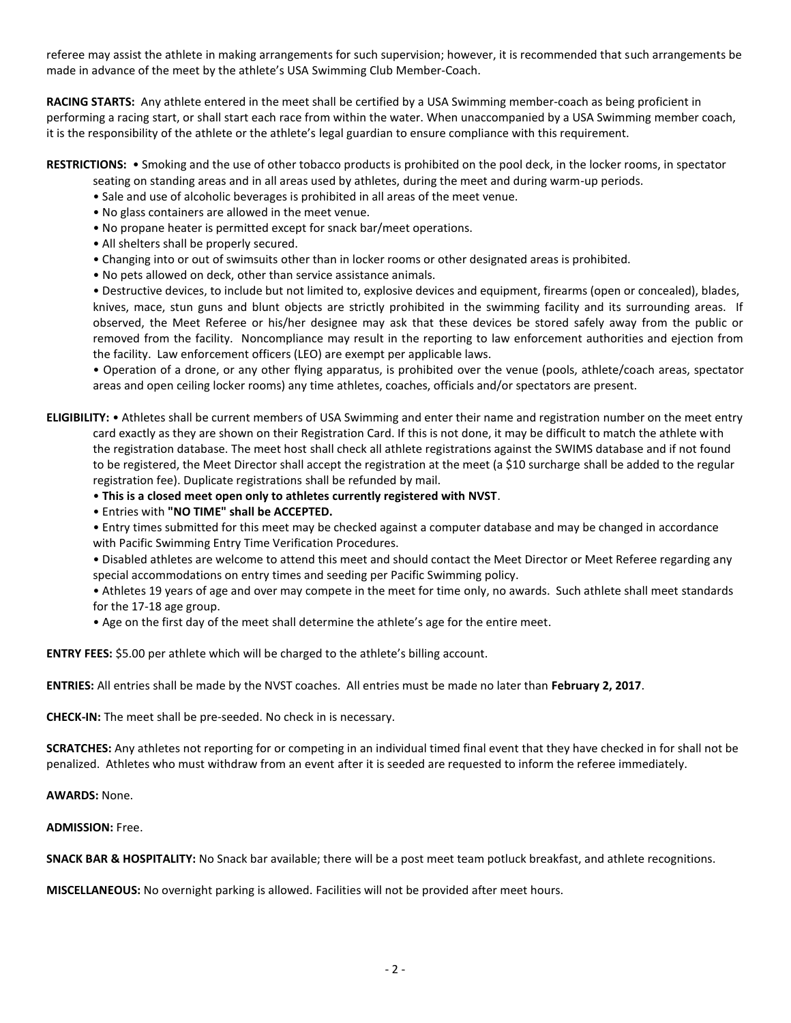referee may assist the athlete in making arrangements for such supervision; however, it is recommended that such arrangements be made in advance of the meet by the athlete's USA Swimming Club Member-Coach.

**RACING STARTS:** Any athlete entered in the meet shall be certified by a USA Swimming member-coach as being proficient in performing a racing start, or shall start each race from within the water. When unaccompanied by a USA Swimming member coach, it is the responsibility of the athlete or the athlete's legal guardian to ensure compliance with this requirement.

#### **RESTRICTIONS:** • Smoking and the use of other tobacco products is prohibited on the pool deck, in the locker rooms, in spectator seating on standing areas and in all areas used by athletes, during the meet and during warm-up periods.

- Sale and use of alcoholic beverages is prohibited in all areas of the meet venue.
- No glass containers are allowed in the meet venue.
- No propane heater is permitted except for snack bar/meet operations.
- All shelters shall be properly secured.
- Changing into or out of swimsuits other than in locker rooms or other designated areas is prohibited.
- No pets allowed on deck, other than service assistance animals.

• Destructive devices, to include but not limited to, explosive devices and equipment, firearms (open or concealed), blades, knives, mace, stun guns and blunt objects are strictly prohibited in the swimming facility and its surrounding areas. If observed, the Meet Referee or his/her designee may ask that these devices be stored safely away from the public or removed from the facility. Noncompliance may result in the reporting to law enforcement authorities and ejection from the facility. Law enforcement officers (LEO) are exempt per applicable laws.

• Operation of a drone, or any other flying apparatus, is prohibited over the venue (pools, athlete/coach areas, spectator areas and open ceiling locker rooms) any time athletes, coaches, officials and/or spectators are present.

**ELIGIBILITY:** • Athletes shall be current members of USA Swimming and enter their name and registration number on the meet entry card exactly as they are shown on their Registration Card. If this is not done, it may be difficult to match the athlete with the registration database. The meet host shall check all athlete registrations against the SWIMS database and if not found to be registered, the Meet Director shall accept the registration at the meet (a \$10 surcharge shall be added to the regular registration fee). Duplicate registrations shall be refunded by mail.

• **This is a closed meet open only to athletes currently registered with NVST**.

• Entries with **"NO TIME" shall be ACCEPTED.**

• Entry times submitted for this meet may be checked against a computer database and may be changed in accordance with Pacific Swimming Entry Time Verification Procedures.

• Disabled athletes are welcome to attend this meet and should contact the Meet Director or Meet Referee regarding any special accommodations on entry times and seeding per Pacific Swimming policy.

• Athletes 19 years of age and over may compete in the meet for time only, no awards. Such athlete shall meet standards for the 17-18 age group.

• Age on the first day of the meet shall determine the athlete's age for the entire meet.

**ENTRY FEES:** \$5.00 per athlete which will be charged to the athlete's billing account.

**ENTRIES:** All entries shall be made by the NVST coaches. All entries must be made no later than **February 2, 2017**.

**CHECK-IN:** The meet shall be pre-seeded. No check in is necessary.

**SCRATCHES:** Any athletes not reporting for or competing in an individual timed final event that they have checked in for shall not be penalized. Athletes who must withdraw from an event after it is seeded are requested to inform the referee immediately.

**AWARDS:** None.

### **ADMISSION:** Free.

**SNACK BAR & HOSPITALITY:** No Snack bar available; there will be a post meet team potluck breakfast, and athlete recognitions.

**MISCELLANEOUS:** No overnight parking is allowed. Facilities will not be provided after meet hours.